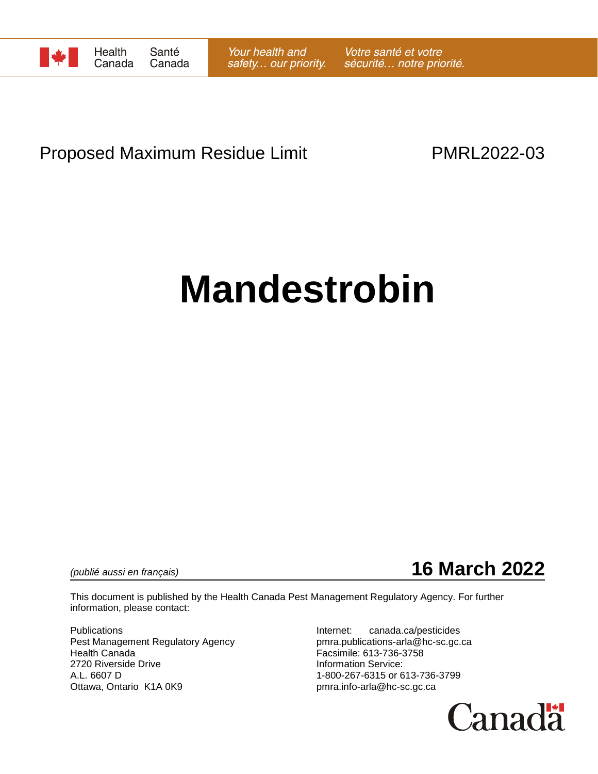

## Proposed Maximum Residue Limit **PMRL2022-03**

# **Mandestrobin**



This document is published by the Health Canada Pest Management Regulatory Agency. For further information, please contact:

Publications **Internet:** canada.ca/pesticides Pest Management Regulatory Agency pmra.publications-arla@hc-sc.gc.ca Health Canada Facsimile: 613-736-3758 2720 Riverside Drive<br>
A.L. 6607 D<br>
A.L. 6607 D Ottawa, Ontario K1A 0K9 **butter and the Contact of Contact Area** pmra.info-arla@hc-sc.gc.ca

1-800-267-6315 or 613-736-3799

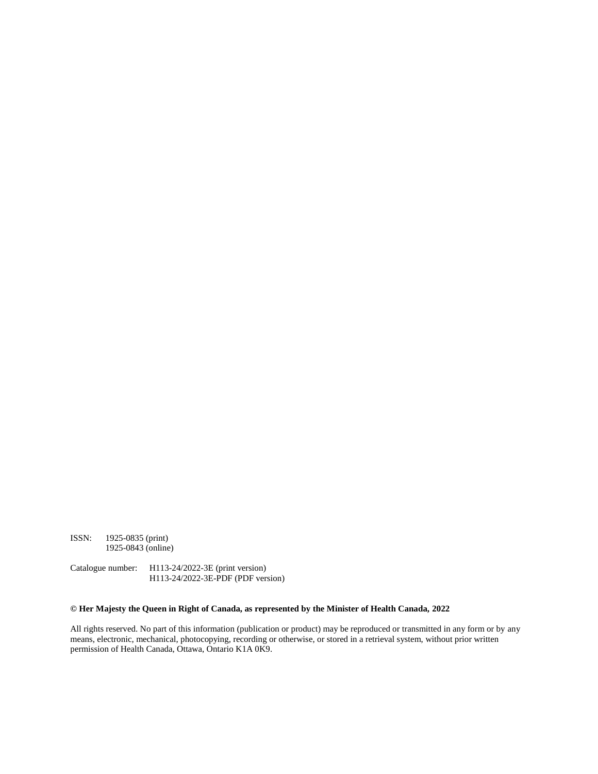ISSN: 1925-0835 (print) 1925-0843 (online)

Catalogue number: H113-24/2022-3E (print version) H113-24/2022-3E-PDF (PDF version)

#### **© Her Majesty the Queen in Right of Canada, as represented by the Minister of Health Canada, 2022**

All rights reserved. No part of this information (publication or product) may be reproduced or transmitted in any form or by any means, electronic, mechanical, photocopying, recording or otherwise, or stored in a retrieval system, without prior written permission of Health Canada, Ottawa, Ontario K1A 0K9.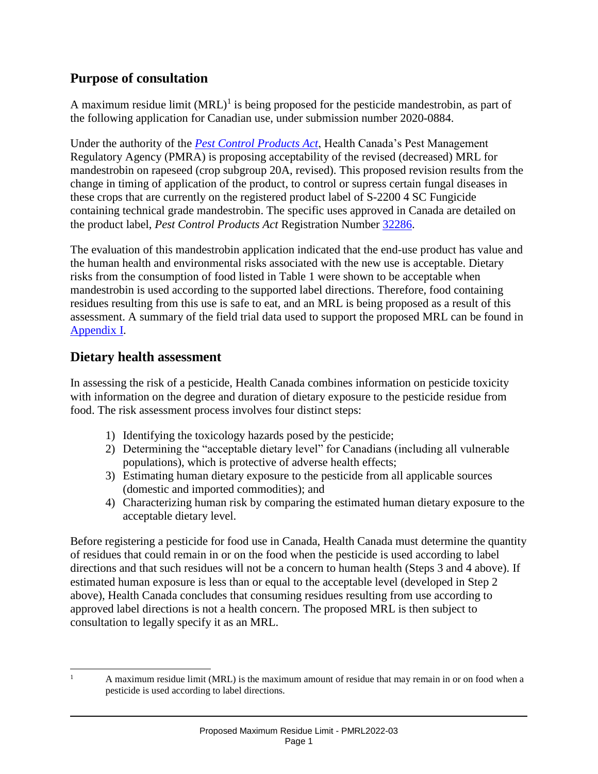## **Purpose of consultation**

A maximum residue limit  $(MRL)^{1}$  is being proposed for the pesticide mandestrobin, as part of the following application for Canadian use, under submission number 2020-0884.

Under the authority of the *[Pest Control Products Act](https://laws-lois.justice.gc.ca/eng/acts/P-9.01/)*, Health Canada's Pest Management Regulatory Agency (PMRA) is proposing acceptability of the revised (decreased) MRL for mandestrobin on rapeseed (crop subgroup 20A, revised). This proposed revision results from the change in timing of application of the product, to control or supress certain fungal diseases in these crops that are currently on the registered product label of S-2200 4 SC Fungicide containing technical grade mandestrobin. The specific uses approved in Canada are detailed on the product label, *Pest Control Products Act* Registration Number [32286.](https://pr-rp.hc-sc.gc.ca/ls-re/index-eng.php)

The evaluation of this mandestrobin application indicated that the end-use product has value and the human health and environmental risks associated with the new use is acceptable. Dietary risks from the consumption of food listed in Table 1 were shown to be acceptable when mandestrobin is used according to the supported label directions. Therefore, food containing residues resulting from this use is safe to eat, and an MRL is being proposed as a result of this assessment. A summary of the field trial data used to support the proposed MRL can be found in Appendix I.

### **Dietary health assessment**

In assessing the risk of a pesticide, Health Canada combines information on pesticide toxicity with information on the degree and duration of dietary exposure to the pesticide residue from food. The risk assessment process involves four distinct steps:

- 1) Identifying the toxicology hazards posed by the pesticide;
- 2) Determining the "acceptable dietary level" for Canadians (including all vulnerable populations), which is protective of adverse health effects;
- 3) Estimating human dietary exposure to the pesticide from all applicable sources (domestic and imported commodities); and
- 4) Characterizing human risk by comparing the estimated human dietary exposure to the acceptable dietary level.

Before registering a pesticide for food use in Canada, Health Canada must determine the quantity of residues that could remain in or on the food when the pesticide is used according to label directions and that such residues will not be a concern to human health (Steps 3 and 4 above). If estimated human exposure is less than or equal to the acceptable level (developed in Step 2 above), Health Canada concludes that consuming residues resulting from use according to approved label directions is not a health concern. The proposed MRL is then subject to consultation to legally specify it as an MRL.

 $\overline{a}$ A maximum residue limit (MRL) is the maximum amount of residue that may remain in or on food when a pesticide is used according to label directions.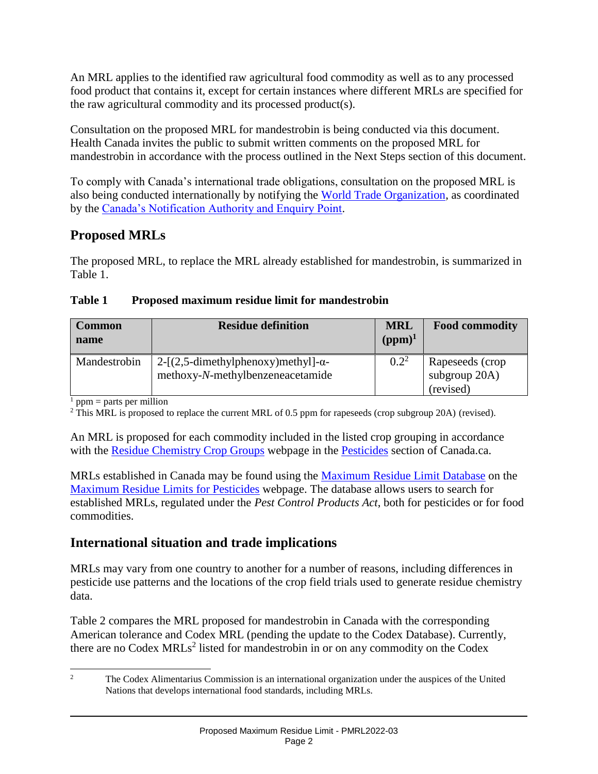An MRL applies to the identified raw agricultural food commodity as well as to any processed food product that contains it, except for certain instances where different MRLs are specified for the raw agricultural commodity and its processed product(s).

Consultation on the proposed MRL for mandestrobin is being conducted via this document. Health Canada invites the public to submit written comments on the proposed MRL for mandestrobin in accordance with the process outlined in the Next Steps section of this document.

To comply with Canada's international trade obligations, consultation on the proposed MRL is also being conducted internationally by notifying the [World Trade Organization,](https://www.wto.org/index.htm) as coordinated by the [Canada's Notification Authority and Enquiry Point.](https://www.international.gc.ca/trade-agreements-accords-commerciaux/wto-omc/enquiry.aspx?lang=eng)

## **Proposed MRLs**

The proposed MRL, to replace the MRL already established for mandestrobin, is summarized in Table 1.

#### **Table 1 Proposed maximum residue limit for mandestrobin**

| <b>Common</b><br>name | <b>Residue definition</b>                                                        | <b>MRL</b><br>$(ppm)^1$ | <b>Food commodity</b>                            |
|-----------------------|----------------------------------------------------------------------------------|-------------------------|--------------------------------------------------|
| Mandestrobin          | $2-[2,5-dimethylphenoxy)$ methyl $]-\alpha-$<br>methoxy-N-methylbenzeneacetamide | $0.2^2$                 | Rapeseeds (crop<br>subgroup $20A$ )<br>(revised) |

 $<sup>1</sup>$  ppm = parts per million</sup>

 $2$  This MRL is proposed to replace the current MRL of 0.5 ppm for rapeseeds (crop subgroup 20A) (revised).

An MRL is proposed for each commodity included in the listed crop grouping in accordance with the [Residue Chemistry Crop Groups](https://www.canada.ca/en/health-canada/services/consumer-product-safety/pesticides-pest-management/public/protecting-your-health-environment/pesticides-food/residue-chemistry-crop-groups.html) webpage in the [Pesticides](https://www.canada.ca/en/health-canada/services/consumer-product-safety/pesticides-pest-management.html) section of Canada.ca.

MRLs established in Canada may be found using the [Maximum Residue Limit Database](https://pr-rp.hc-sc.gc.ca/mrl-lrm/index-eng.php) on the [Maximum Residue Limits for Pesticides](https://www.canada.ca/en/health-canada/services/consumer-product-safety/pesticides-pest-management/public/protecting-your-health-environment/pesticides-food/maximum-residue-limits-pesticides.html) webpage. The database allows users to search for established MRLs, regulated under the *Pest Control Products Act*, both for pesticides or for food commodities.

## **International situation and trade implications**

MRLs may vary from one country to another for a number of reasons, including differences in pesticide use patterns and the locations of the crop field trials used to generate residue chemistry data.

Table 2 compares the MRL proposed for mandestrobin in Canada with the corresponding American tolerance and Codex MRL (pending the update to the Codex Database). Currently, there are no Codex  $MRLs<sup>2</sup>$  listed for mandestrobin in or on any commodity on the Codex

 $\overline{2}$ <sup>2</sup> The Codex Alimentarius Commission is an international organization under the auspices of the United Nations that develops international food standards, including MRLs.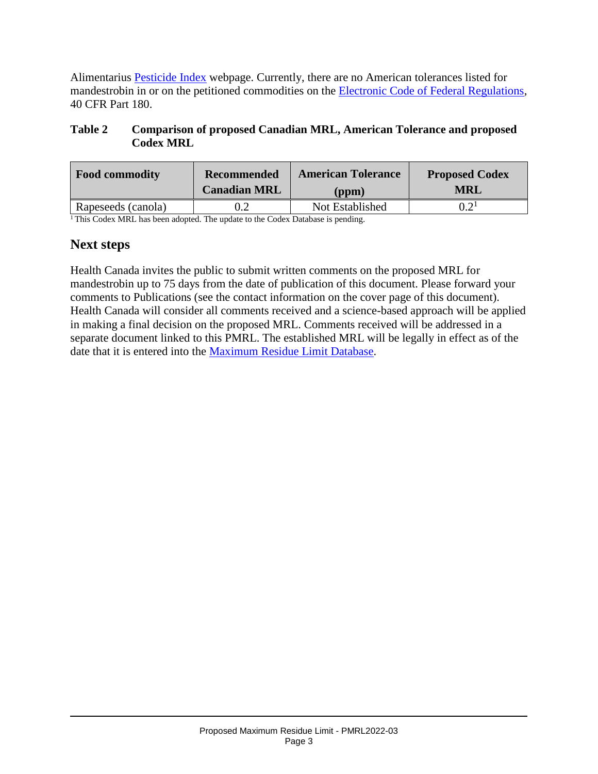Alimentarius **Pesticide Index** webpage. Currently, there are no American tolerances listed for mandestrobin in or on the petitioned commodities on the **Electronic Code of Federal Regulations**, 40 CFR Part 180.

#### **Table 2 Comparison of proposed Canadian MRL, American Tolerance and proposed Codex MRL**

| <b>Food commodity</b> | <b>Recommended</b>  | <b>American Tolerance</b> | <b>Proposed Codex</b> |  |
|-----------------------|---------------------|---------------------------|-----------------------|--|
|                       | <b>Canadian MRL</b> | (ppm)                     | <b>MRL</b>            |  |
| Rapeseeds (canola)    | J.Z                 | Not Established           |                       |  |

 $1$ This Codex MRL has been adopted. The update to the Codex Database is pending.

### **Next steps**

Health Canada invites the public to submit written comments on the proposed MRL for mandestrobin up to 75 days from the date of publication of this document. Please forward your comments to Publications (see the contact information on the cover page of this document). Health Canada will consider all comments received and a science-based approach will be applied in making a final decision on the proposed MRL. Comments received will be addressed in a separate document linked to this PMRL. The established MRL will be legally in effect as of the date that it is entered into the [Maximum Residue Limit Database.](https://pr-rp.hc-sc.gc.ca/mrl-lrm/index-eng.php)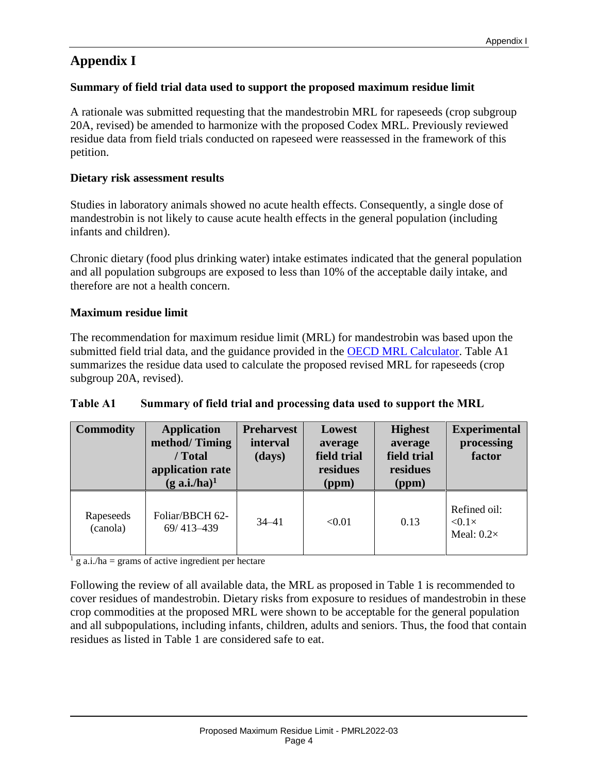## **Appendix I**

#### **Summary of field trial data used to support the proposed maximum residue limit**

A rationale was submitted requesting that the mandestrobin MRL for rapeseeds (crop subgroup 20A, revised) be amended to harmonize with the proposed Codex MRL. Previously reviewed residue data from field trials conducted on rapeseed were reassessed in the framework of this petition.

#### **Dietary risk assessment results**

Studies in laboratory animals showed no acute health effects. Consequently, a single dose of mandestrobin is not likely to cause acute health effects in the general population (including infants and children).

Chronic dietary (food plus drinking water) intake estimates indicated that the general population and all population subgroups are exposed to less than 10% of the acceptable daily intake, and therefore are not a health concern.

#### **Maximum residue limit**

The recommendation for maximum residue limit (MRL) for mandestrobin was based upon the submitted field trial data, and the guidance provided in the [OECD MRL Calculator.](http://www.oecd.org/env/chemicalsafetyandbiosafety/agriculturalpesticidesandbiocides/oecdmaximumresiduelimitcalculator.htm) Table A1 summarizes the residue data used to calculate the proposed revised MRL for rapeseeds (crop subgroup 20A, revised).

#### **Table A1 Summary of field trial and processing data used to support the MRL**

| <b>Commodity</b>      | <b>Application</b><br>method/Timing<br>/ Total<br>application rate<br>$(g \nabla \cdot \mathbf{a} \cdot \mathbf{i} \cdot \mathbf{h} \cdot \mathbf{a})^1$ | <b>Preharvest</b><br>interval<br>(days) | Lowest<br>average<br>field trial<br>residues<br>(ppm) | <b>Highest</b><br>average<br>field trial<br>residues<br>(ppm) | <b>Experimental</b><br>processing<br>factor         |
|-----------------------|----------------------------------------------------------------------------------------------------------------------------------------------------------|-----------------------------------------|-------------------------------------------------------|---------------------------------------------------------------|-----------------------------------------------------|
| Rapeseeds<br>(canola) | Foliar/BBCH 62-<br>69/413-439                                                                                                                            | $34 - 41$                               | < 0.01                                                | 0.13                                                          | Refined oil:<br>$< 0.1 \times$<br>Meal: $0.2\times$ |

 $\frac{1}{1}$  g a.i./ha = grams of active ingredient per hectare

Following the review of all available data, the MRL as proposed in Table 1 is recommended to cover residues of mandestrobin. Dietary risks from exposure to residues of mandestrobin in these crop commodities at the proposed MRL were shown to be acceptable for the general population and all subpopulations, including infants, children, adults and seniors. Thus, the food that contain residues as listed in Table 1 are considered safe to eat.